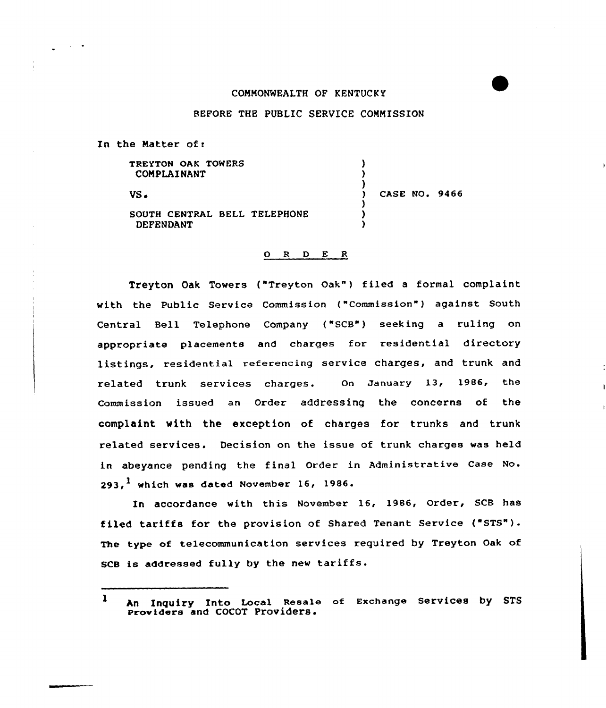## COMMONWEALTH OF KENTUCK Y

## BEFORE THE PUBLIC SERVICE COMMISSION

) ) )

) ) )

In the Matter of:

TREYTON OAK TOWERS CONPLAINANT

VS.

CASE NO. 9466

SOUTH CENTRAL BELL TELEPHONE DEFENDANT

## ORDER

Treyton Oak Towers ("Treyton Oak") filed a formal complaint with the Public Service Commission ("Commission") against South Central Bell Telephone Company ("SCB") seeking a ruling on appropriate placements and charges for residential directory listings, residential referencing service charges, and trunk and related trunk services charges. On January 13, 1986, the Commission issued an Order addressing the concerns of the complaint with the exception of charges for trunks and trunk related services. Decision on the issue of trunk charges was held in abeyance pending the final Order in Administrative Case No.  $293.$ <sup>1</sup> which was dated November 16, 1986.

In accordance with this November 16, 1986, Order, SCB has filed tariffs for the provision of Shared Tenant Service ("STS") . The type of telecommunication services required by Treyton Oak of SCB is addressed fully by the new tariffs.

 $\mathbf{I}$ An Inquiry Into Local Resale of Exchange Services by STS Providers and COCOT Providers.